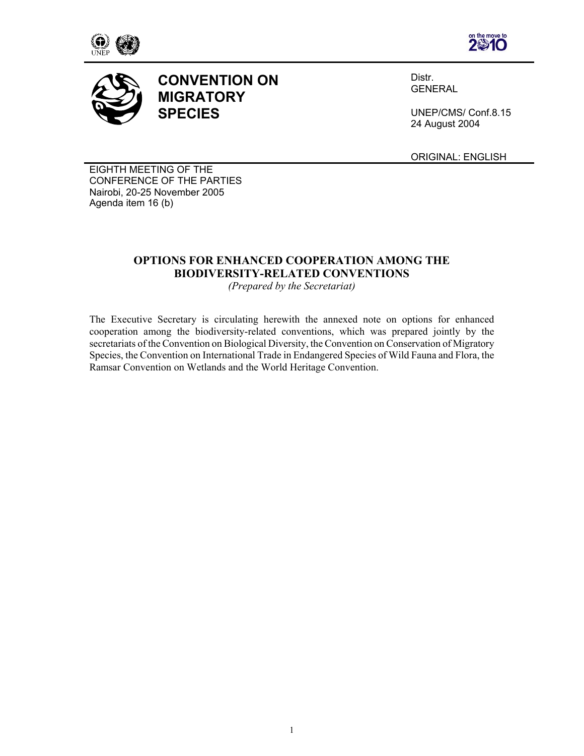





**CONVENTION ON MIGRATORY SPECIES** 

Distr. **GENERAL** 

UNEP/CMS/ Conf.8.15 24 August 2004

ORIGINAL: ENGLISH

EIGHTH MEETING OF THE CONFERENCE OF THE PARTIES Nairobi, 20-25 November 2005 Agenda item 16 (b)

# **OPTIONS FOR ENHANCED COOPERATION AMONG THE BIODIVERSITY-RELATED CONVENTIONS**

*(Prepared by the Secretariat)* 

The Executive Secretary is circulating herewith the annexed note on options for enhanced cooperation among the biodiversity-related conventions, which was prepared jointly by the secretariats of the Convention on Biological Diversity, the Convention on Conservation of Migratory Species, the Convention on International Trade in Endangered Species of Wild Fauna and Flora, the Ramsar Convention on Wetlands and the World Heritage Convention.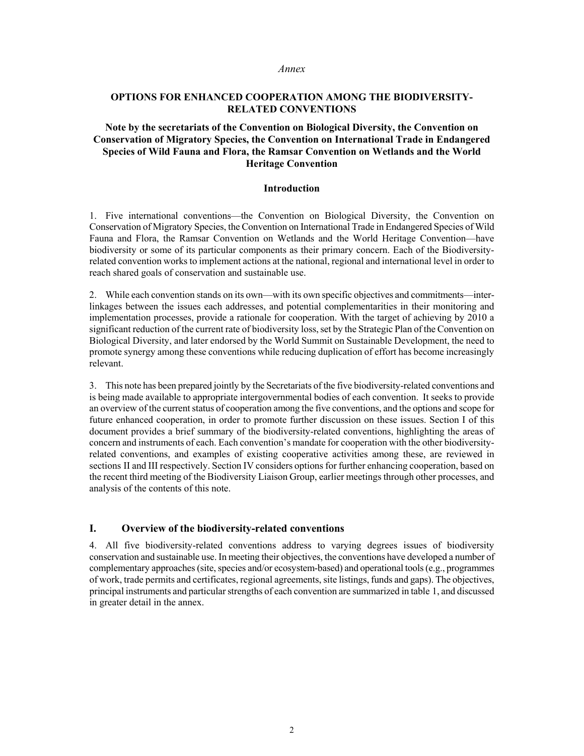#### *Annex*

# **OPTIONS FOR ENHANCED COOPERATION AMONG THE BIODIVERSITY-RELATED CONVENTIONS**

# **Note by the secretariats of the Convention on Biological Diversity, the Convention on Conservation of Migratory Species, the Convention on International Trade in Endangered Species of Wild Fauna and Flora, the Ramsar Convention on Wetlands and the World Heritage Convention**

### **Introduction**

1. Five international conventions—the Convention on Biological Diversity, the Convention on Conservation of Migratory Species, the Convention on International Trade in Endangered Species of Wild Fauna and Flora, the Ramsar Convention on Wetlands and the World Heritage Convention—have biodiversity or some of its particular components as their primary concern. Each of the Biodiversityrelated convention works to implement actions at the national, regional and international level in order to reach shared goals of conservation and sustainable use.

2. While each convention stands on its own—with its own specific objectives and commitments—interlinkages between the issues each addresses, and potential complementarities in their monitoring and implementation processes, provide a rationale for cooperation. With the target of achieving by 2010 a significant reduction of the current rate of biodiversity loss, set by the Strategic Plan of the Convention on Biological Diversity, and later endorsed by the World Summit on Sustainable Development, the need to promote synergy among these conventions while reducing duplication of effort has become increasingly relevant.

3. This note has been prepared jointly by the Secretariats of the five biodiversity-related conventions and is being made available to appropriate intergovernmental bodies of each convention. It seeks to provide an overview of the current status of cooperation among the five conventions, and the options and scope for future enhanced cooperation, in order to promote further discussion on these issues. Section I of this document provides a brief summary of the biodiversity-related conventions, highlighting the areas of concern and instruments of each. Each convention's mandate for cooperation with the other biodiversityrelated conventions, and examples of existing cooperative activities among these, are reviewed in sections II and III respectively. Section IV considers options for further enhancing cooperation, based on the recent third meeting of the Biodiversity Liaison Group, earlier meetings through other processes, and analysis of the contents of this note.

### **I. Overview of the biodiversity-related conventions**

4. All five biodiversity-related conventions address to varying degrees issues of biodiversity conservation and sustainable use. In meeting their objectives, the conventions have developed a number of complementary approaches (site, species and/or ecosystem-based) and operational tools (e.g., programmes of work, trade permits and certificates, regional agreements, site listings, funds and gaps). The objectives, principal instruments and particular strengths of each convention are summarized in table 1, and discussed in greater detail in the annex.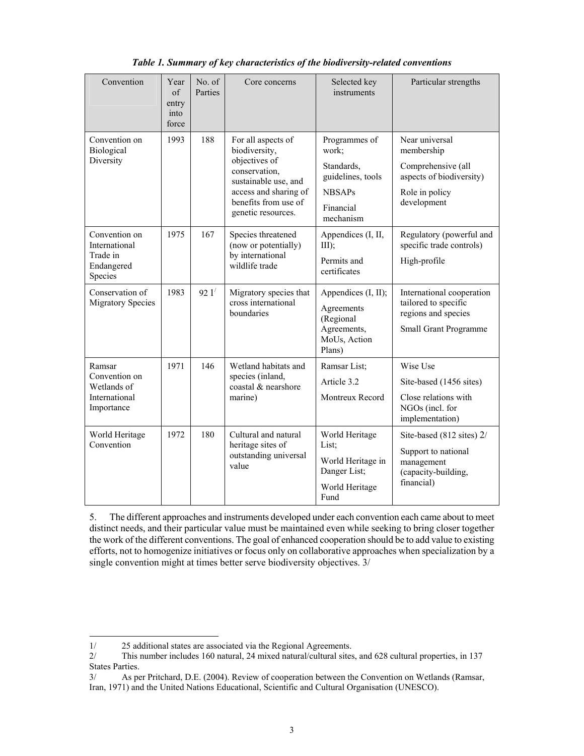| Convention                                                            | Year<br>of<br>entry<br>into<br>force | No. of<br>Parties | Core concerns                                                                                                                                                        | Selected key<br>instruments                                                                          | Particular strengths                                                                                            |
|-----------------------------------------------------------------------|--------------------------------------|-------------------|----------------------------------------------------------------------------------------------------------------------------------------------------------------------|------------------------------------------------------------------------------------------------------|-----------------------------------------------------------------------------------------------------------------|
| Convention on<br>Biological<br>Diversity                              | 1993                                 | 188               | For all aspects of<br>biodiversity,<br>objectives of<br>conservation,<br>sustainable use, and<br>access and sharing of<br>benefits from use of<br>genetic resources. | Programmes of<br>work;<br>Standards,<br>guidelines, tools<br><b>NBSAPs</b><br>Financial<br>mechanism | Near universal<br>membership<br>Comprehensive (all<br>aspects of biodiversity)<br>Role in policy<br>development |
| Convention on<br>International<br>Trade in<br>Endangered<br>Species   | 1975                                 | 167               | Species threatened<br>(now or potentially)<br>by international<br>wildlife trade                                                                                     | Appendices (I, II,<br>III);<br>Permits and<br>certificates                                           | Regulatory (powerful and<br>specific trade controls)<br>High-profile                                            |
| Conservation of<br><b>Migratory Species</b>                           | 1983                                 | 921'              | Migratory species that<br>cross international<br>boundaries                                                                                                          | Appendices (I, II);<br>Agreements<br>(Regional<br>Agreements,<br>MoUs, Action<br>Plans)              | International cooperation<br>tailored to specific<br>regions and species<br>Small Grant Programme               |
| Ramsar<br>Convention on<br>Wetlands of<br>International<br>Importance | 1971                                 | 146               | Wetland habitats and<br>species (inland,<br>coastal & nearshore<br>marine)                                                                                           | Ramsar List;<br>Article 3.2<br>Montreux Record                                                       | Wise Use<br>Site-based (1456 sites)<br>Close relations with<br>NGOs (incl. for<br>implementation)               |
| World Heritage<br>Convention                                          | 1972                                 | 180               | Cultural and natural<br>heritage sites of<br>outstanding universal<br>value                                                                                          | World Heritage<br>List;<br>World Heritage in<br>Danger List;<br>World Heritage<br>Fund               | Site-based (812 sites) 2/<br>Support to national<br>management<br>(capacity-building,<br>financial)             |

*Table 1. Summary of key characteristics of the biodiversity-related conventions* 

5. The different approaches and instruments developed under each convention each came about to meet distinct needs, and their particular value must be maintained even while seeking to bring closer together the work of the different conventions. The goal of enhanced cooperation should be to add value to existing efforts, not to homogenize initiatives or focus only on collaborative approaches when specialization by a single convention might at times better serve biodiversity objectives. 3/

-

<sup>1/ 25</sup> additional states are associated via the Regional Agreements.<br>2/ This number includes 160 natural, 24 mixed natural/cultural sites

<sup>2/</sup> This number includes 160 natural, 24 mixed natural/cultural sites, and 628 cultural properties, in 137 States Parties.

<sup>3/</sup> As per Pritchard, D.E. (2004). Review of cooperation between the Convention on Wetlands (Ramsar, Iran, 1971) and the United Nations Educational, Scientific and Cultural Organisation (UNESCO).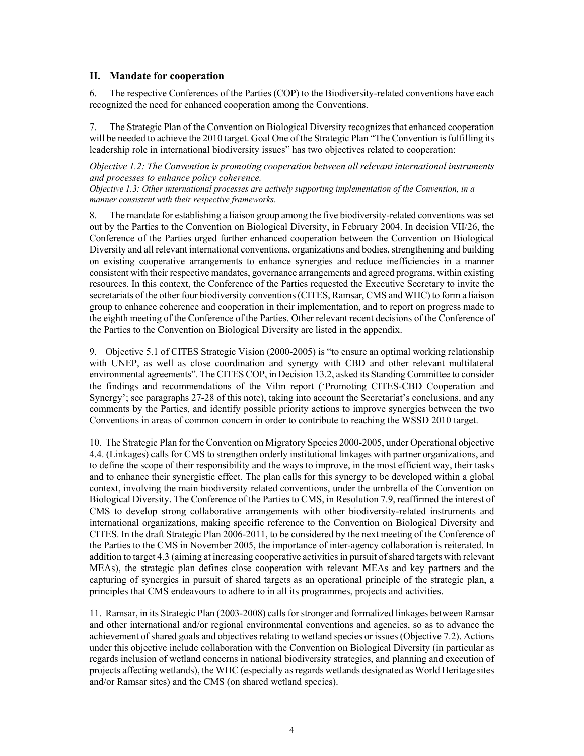# **II. Mandate for cooperation**

6. The respective Conferences of the Parties (COP) to the Biodiversity-related conventions have each recognized the need for enhanced cooperation among the Conventions.

7. The Strategic Plan of the Convention on Biological Diversity recognizes that enhanced cooperation will be needed to achieve the 2010 target. Goal One of the Strategic Plan "The Convention is fulfilling its leadership role in international biodiversity issues" has two objectives related to cooperation:

*Objective 1.2: The Convention is promoting cooperation between all relevant international instruments and processes to enhance policy coherence.* 

*Objective 1.3: Other international processes are actively supporting implementation of the Convention, in a manner consistent with their respective frameworks.* 

8. The mandate for establishing a liaison group among the five biodiversity-related conventions was set out by the Parties to the Convention on Biological Diversity, in February 2004. In decision VII/26, the Conference of the Parties urged further enhanced cooperation between the Convention on Biological Diversity and all relevant international conventions, organizations and bodies, strengthening and building on existing cooperative arrangements to enhance synergies and reduce inefficiencies in a manner consistent with their respective mandates, governance arrangements and agreed programs, within existing resources. In this context, the Conference of the Parties requested the Executive Secretary to invite the secretariats of the other four biodiversity conventions (CITES, Ramsar, CMS and WHC) to form a liaison group to enhance coherence and cooperation in their implementation, and to report on progress made to the eighth meeting of the Conference of the Parties. Other relevant recent decisions of the Conference of the Parties to the Convention on Biological Diversity are listed in the appendix.

9. Objective 5.1 of CITES Strategic Vision (2000-2005) is "to ensure an optimal working relationship with UNEP, as well as close coordination and synergy with CBD and other relevant multilateral environmental agreements". The CITES COP, in Decision 13.2, asked its Standing Committee to consider the findings and recommendations of the Vilm report ('Promoting CITES-CBD Cooperation and Synergy'; see paragraphs 27-28 of this note), taking into account the Secretariat's conclusions, and any comments by the Parties, and identify possible priority actions to improve synergies between the two Conventions in areas of common concern in order to contribute to reaching the WSSD 2010 target.

10. The Strategic Plan for the Convention on Migratory Species 2000-2005, under Operational objective 4.4. (Linkages) calls for CMS to strengthen orderly institutional linkages with partner organizations, and to define the scope of their responsibility and the ways to improve, in the most efficient way, their tasks and to enhance their synergistic effect. The plan calls for this synergy to be developed within a global context, involving the main biodiversity related conventions, under the umbrella of the Convention on Biological Diversity. The Conference of the Parties to CMS, in Resolution 7.9, reaffirmed the interest of CMS to develop strong collaborative arrangements with other biodiversity-related instruments and international organizations, making specific reference to the Convention on Biological Diversity and CITES. In the draft Strategic Plan 2006-2011, to be considered by the next meeting of the Conference of the Parties to the CMS in November 2005, the importance of inter-agency collaboration is reiterated. In addition to target 4.3 (aiming at increasing cooperative activities in pursuit of shared targets with relevant MEAs), the strategic plan defines close cooperation with relevant MEAs and key partners and the capturing of synergies in pursuit of shared targets as an operational principle of the strategic plan, a principles that CMS endeavours to adhere to in all its programmes, projects and activities.

11. Ramsar, in its Strategic Plan (2003-2008) calls for stronger and formalized linkages between Ramsar and other international and/or regional environmental conventions and agencies, so as to advance the achievement of shared goals and objectives relating to wetland species or issues (Objective 7.2). Actions under this objective include collaboration with the Convention on Biological Diversity (in particular as regards inclusion of wetland concerns in national biodiversity strategies, and planning and execution of projects affecting wetlands), the WHC (especially as regards wetlands designated as World Heritage sites and/or Ramsar sites) and the CMS (on shared wetland species).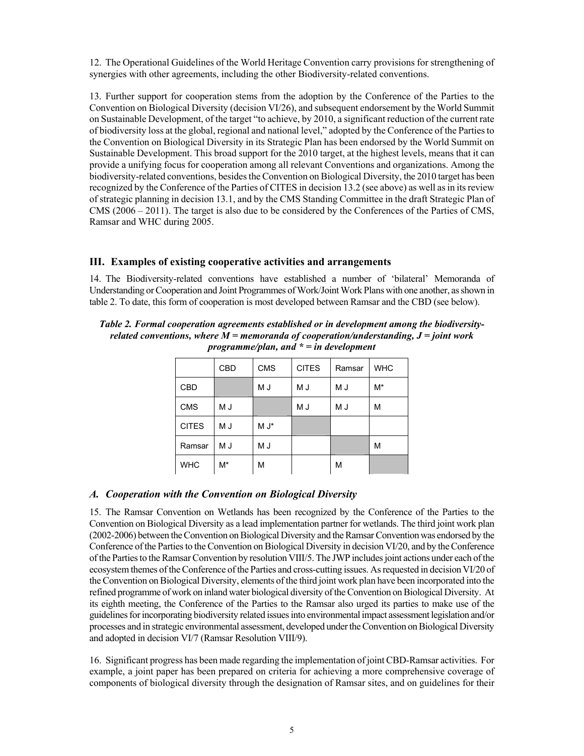12. The Operational Guidelines of the World Heritage Convention carry provisions for strengthening of synergies with other agreements, including the other Biodiversity-related conventions.

13. Further support for cooperation stems from the adoption by the Conference of the Parties to the Convention on Biological Diversity (decision VI/26), and subsequent endorsement by the World Summit on Sustainable Development, of the target "to achieve, by 2010, a significant reduction of the current rate of biodiversity loss at the global, regional and national level," adopted by the Conference of the Parties to the Convention on Biological Diversity in its Strategic Plan has been endorsed by the World Summit on Sustainable Development. This broad support for the 2010 target, at the highest levels, means that it can provide a unifying focus for cooperation among all relevant Conventions and organizations. Among the biodiversity-related conventions, besides the Convention on Biological Diversity, the 2010 target has been recognized by the Conference of the Parties of CITES in decision 13.2 (see above) as well as in its review of strategic planning in decision 13.1, and by the CMS Standing Committee in the draft Strategic Plan of CMS (2006 – 2011). The target is also due to be considered by the Conferences of the Parties of CMS, Ramsar and WHC during 2005.

### **III. Examples of existing cooperative activities and arrangements**

14. The Biodiversity-related conventions have established a number of 'bilateral' Memoranda of Understanding or Cooperation and Joint Programmes of Work/Joint Work Plans with one another, as shown in table 2. To date, this form of cooperation is most developed between Ramsar and the CBD (see below).

*Table 2. Formal cooperation agreements established or in development among the biodiversityrelated conventions, where M = memoranda of cooperation/understanding, J = joint work programme/plan, and \* = in development* 

|              | <b>CBD</b> | <b>CMS</b> | <b>CITES</b> | Ramsar | <b>WHC</b> |  |  |
|--------------|------------|------------|--------------|--------|------------|--|--|
| <b>CBD</b>   |            | M J        | M J          | M J    | $M^*$      |  |  |
| <b>CMS</b>   | M J        |            | M J          | M J    | M          |  |  |
| <b>CITES</b> | M J        | M J*       |              |        |            |  |  |
| Ramsar       | M J        | M J        |              |        | M          |  |  |
| <b>WHC</b>   | M*         | M          |              | M      |            |  |  |

### *A. Cooperation with the Convention on Biological Diversity*

15. The Ramsar Convention on Wetlands has been recognized by the Conference of the Parties to the Convention on Biological Diversity as a lead implementation partner for wetlands. The third joint work plan (2002-2006) between the Convention on Biological Diversity and the Ramsar Convention was endorsed by the Conference of the Parties to the Convention on Biological Diversity in decision VI/20, and by the Conference of the Parties to the Ramsar Convention by resolution VIII/5. The JWP includes joint actions under each of the ecosystem themes of the Conference of the Parties and cross-cutting issues. As requested in decision VI/20 of the Convention on Biological Diversity, elements of the third joint work plan have been incorporated into the refined programme of work on inland water biological diversity of the Convention on Biological Diversity. At its eighth meeting, the Conference of the Parties to the Ramsar also urged its parties to make use of the guidelines for incorporating biodiversity related issues into environmental impact assessment legislation and/or processes and in strategic environmental assessment, developed under the Convention on Biological Diversity and adopted in decision VI/7 (Ramsar Resolution VIII/9).

16. Significant progress has been made regarding the implementation of joint CBD-Ramsar activities. For example, a joint paper has been prepared on criteria for achieving a more comprehensive coverage of components of biological diversity through the designation of Ramsar sites, and on guidelines for their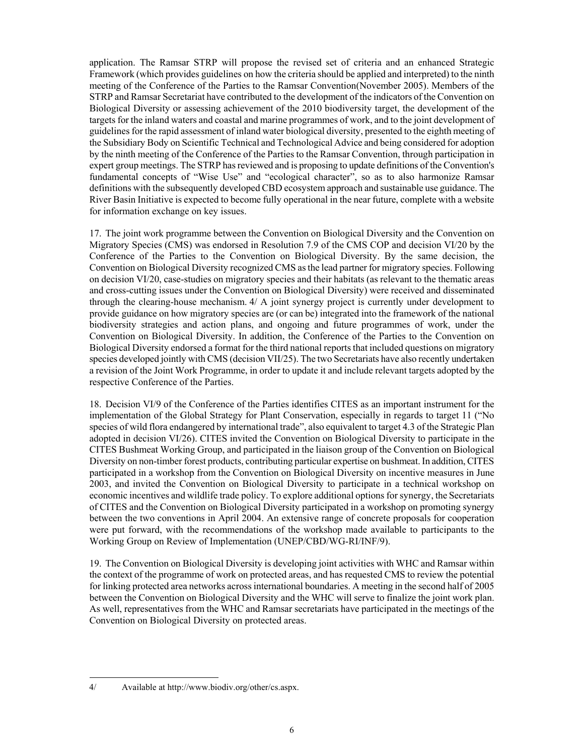application. The Ramsar STRP will propose the revised set of criteria and an enhanced Strategic Framework (which provides guidelines on how the criteria should be applied and interpreted) to the ninth meeting of the Conference of the Parties to the Ramsar Convention(November 2005). Members of the STRP and Ramsar Secretariat have contributed to the development of the indicators of the Convention on Biological Diversity or assessing achievement of the 2010 biodiversity target, the development of the targets for the inland waters and coastal and marine programmes of work, and to the joint development of guidelines for the rapid assessment of inland water biological diversity, presented to the eighth meeting of the Subsidiary Body on Scientific Technical and Technological Advice and being considered for adoption by the ninth meeting of the Conference of the Parties to the Ramsar Convention, through participation in expert group meetings. The STRP has reviewed and is proposing to update definitions of the Convention's fundamental concepts of "Wise Use" and "ecological character", so as to also harmonize Ramsar definitions with the subsequently developed CBD ecosystem approach and sustainable use guidance. The River Basin Initiative is expected to become fully operational in the near future, complete with a website for information exchange on key issues.

17. The joint work programme between the Convention on Biological Diversity and the Convention on Migratory Species (CMS) was endorsed in Resolution 7.9 of the CMS COP and decision VI/20 by the Conference of the Parties to the Convention on Biological Diversity. By the same decision, the Convention on Biological Diversity recognized CMS as the lead partner for migratory species. Following on decision VI/20, case-studies on migratory species and their habitats (as relevant to the thematic areas and cross-cutting issues under the Convention on Biological Diversity) were received and disseminated through the clearing-house mechanism.  $4/$  A joint synergy project is currently under development to provide guidance on how migratory species are (or can be) integrated into the framework of the national biodiversity strategies and action plans, and ongoing and future programmes of work, under the Convention on Biological Diversity. In addition, the Conference of the Parties to the Convention on Biological Diversity endorsed a format for the third national reports that included questions on migratory species developed jointly with CMS (decision VII/25). The two Secretariats have also recently undertaken a revision of the Joint Work Programme, in order to update it and include relevant targets adopted by the respective Conference of the Parties.

18. Decision VI/9 of the Conference of the Parties identifies CITES as an important instrument for the implementation of the Global Strategy for Plant Conservation, especially in regards to target 11 ("No species of wild flora endangered by international trade", also equivalent to target 4.3 of the Strategic Plan adopted in decision VI/26). CITES invited the Convention on Biological Diversity to participate in the CITES Bushmeat Working Group, and participated in the liaison group of the Convention on Biological Diversity on non-timber forest products, contributing particular expertise on bushmeat. In addition, CITES participated in a workshop from the Convention on Biological Diversity on incentive measures in June 2003, and invited the Convention on Biological Diversity to participate in a technical workshop on economic incentives and wildlife trade policy. To explore additional options for synergy, the Secretariats of CITES and the Convention on Biological Diversity participated in a workshop on promoting synergy between the two conventions in April 2004. An extensive range of concrete proposals for cooperation were put forward, with the recommendations of the workshop made available to participants to the Working Group on Review of Implementation (UNEP/CBD/WG-RI/INF/9).

19. The Convention on Biological Diversity is developing joint activities with WHC and Ramsar within the context of the programme of work on protected areas, and has requested CMS to review the potential for linking protected area networks across international boundaries. A meeting in the second half of 2005 between the Convention on Biological Diversity and the WHC will serve to finalize the joint work plan. As well, representatives from the WHC and Ramsar secretariats have participated in the meetings of the Convention on Biological Diversity on protected areas.

4/ Available at http://www.biodiv.org/other/cs.aspx.

-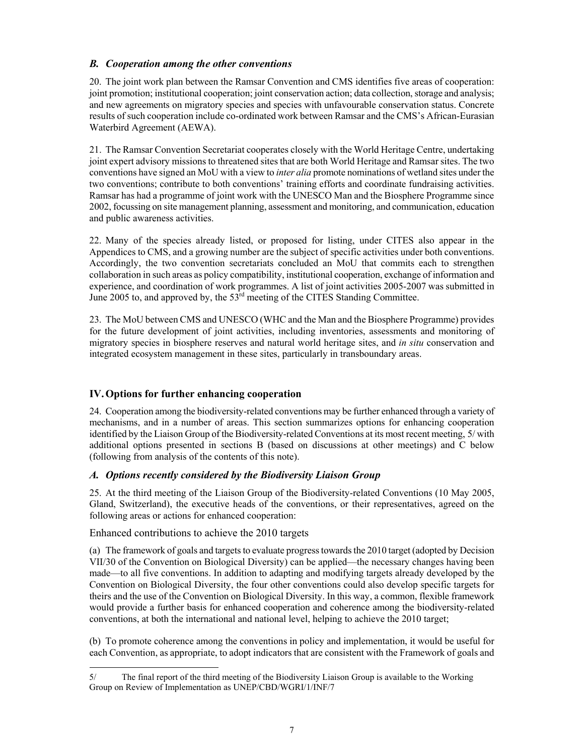# *B. Cooperation among the other conventions*

20. The joint work plan between the Ramsar Convention and CMS identifies five areas of cooperation: joint promotion; institutional cooperation; joint conservation action; data collection, storage and analysis; and new agreements on migratory species and species with unfavourable conservation status. Concrete results of such cooperation include co-ordinated work between Ramsar and the CMS's African-Eurasian Waterbird Agreement (AEWA).

21. The Ramsar Convention Secretariat cooperates closely with the World Heritage Centre, undertaking joint expert advisory missions to threatened sites that are both World Heritage and Ramsar sites. The two conventions have signed an MoU with a view to *inter alia* promote nominations of wetland sites under the two conventions; contribute to both conventions' training efforts and coordinate fundraising activities. Ramsar has had a programme of joint work with the UNESCO Man and the Biosphere Programme since 2002, focussing on site management planning, assessment and monitoring, and communication, education and public awareness activities.

22. Many of the species already listed, or proposed for listing, under CITES also appear in the Appendices to CMS, and a growing number are the subject of specific activities under both conventions. Accordingly, the two convention secretariats concluded an MoU that commits each to strengthen collaboration in such areas as policy compatibility, institutional cooperation, exchange of information and experience, and coordination of work programmes. A list of joint activities 2005-2007 was submitted in June 2005 to, and approved by, the 53<sup>rd</sup> meeting of the CITES Standing Committee.

23. The MoU between CMS and UNESCO (WHC and the Man and the Biosphere Programme) provides for the future development of joint activities, including inventories, assessments and monitoring of migratory species in biosphere reserves and natural world heritage sites, and *in situ* conservation and integrated ecosystem management in these sites, particularly in transboundary areas.

# **IV. Options for further enhancing cooperation**

24. Cooperation among the biodiversity-related conventions may be further enhanced through a variety of mechanisms, and in a number of areas. This section summarizes options for enhancing cooperation identified by the Liaison Group of the Biodiversity-related Conventions at its most recent meeting, 5/ with additional options presented in sections B (based on discussions at other meetings) and C below (following from analysis of the contents of this note).

# *A. Options recently considered by the Biodiversity Liaison Group*

25. At the third meeting of the Liaison Group of the Biodiversity-related Conventions (10 May 2005, Gland, Switzerland), the executive heads of the conventions, or their representatives, agreed on the following areas or actions for enhanced cooperation:

Enhanced contributions to achieve the 2010 targets

-

(a) The framework of goals and targets to evaluate progress towards the 2010 target (adopted by Decision VII/30 of the Convention on Biological Diversity) can be applied—the necessary changes having been made—to all five conventions. In addition to adapting and modifying targets already developed by the Convention on Biological Diversity, the four other conventions could also develop specific targets for theirs and the use of the Convention on Biological Diversity. In this way, a common, flexible framework would provide a further basis for enhanced cooperation and coherence among the biodiversity-related conventions, at both the international and national level, helping to achieve the 2010 target;

(b) To promote coherence among the conventions in policy and implementation, it would be useful for each Convention, as appropriate, to adopt indicators that are consistent with the Framework of goals and

<sup>5/</sup> The final report of the third meeting of the Biodiversity Liaison Group is available to the Working Group on Review of Implementation as UNEP/CBD/WGRI/1/INF/7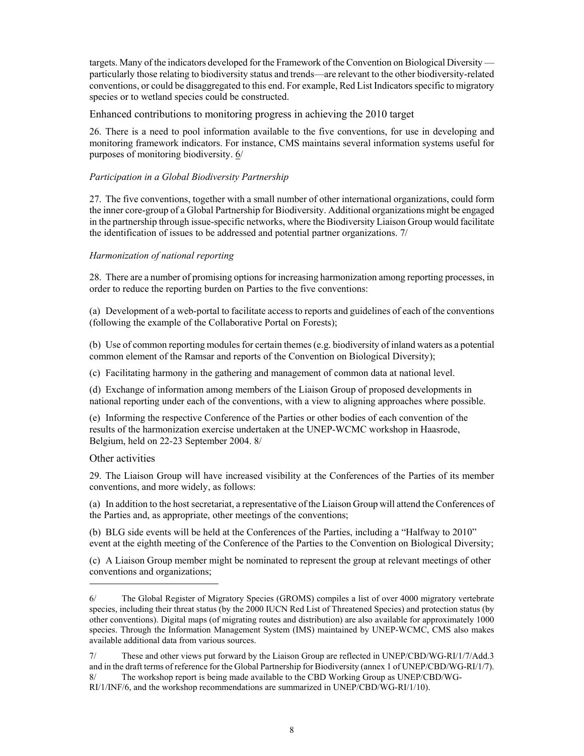targets. Many of the indicators developed for the Framework of the Convention on Biological Diversity particularly those relating to biodiversity status and trends—are relevant to the other biodiversity-related conventions, or could be disaggregated to this end. For example, Red List Indicators specific to migratory species or to wetland species could be constructed.

Enhanced contributions to monitoring progress in achieving the 2010 target

26. There is a need to pool information available to the five conventions, for use in developing and monitoring framework indicators. For instance, CMS maintains several information systems useful for purposes of monitoring biodiversity. 6/

# *Participation in a Global Biodiversity Partnership*

27. The five conventions, together with a small number of other international organizations, could form the inner core-group of a Global Partnership for Biodiversity. Additional organizations might be engaged in the partnership through issue-specific networks, where the Biodiversity Liaison Group would facilitate the identification of issues to be addressed and potential partner organizations. 7/

# *Harmonization of national reporting*

28. There are a number of promising options for increasing harmonization among reporting processes, in order to reduce the reporting burden on Parties to the five conventions:

(a) Development of a web-portal to facilitate access to reports and guidelines of each of the conventions (following the example of the Collaborative Portal on Forests);

(b) Use of common reporting modules for certain themes (e.g. biodiversity of inland waters as a potential common element of the Ramsar and reports of the Convention on Biological Diversity);

(c) Facilitating harmony in the gathering and management of common data at national level.

(d) Exchange of information among members of the Liaison Group of proposed developments in national reporting under each of the conventions, with a view to aligning approaches where possible.

(e) Informing the respective Conference of the Parties or other bodies of each convention of the results of the harmonization exercise undertaken at the UNEP-WCMC workshop in Haasrode, Belgium, held on 22-23 September 2004. 8/

# Other activities

-

29. The Liaison Group will have increased visibility at the Conferences of the Parties of its member conventions, and more widely, as follows:

(a) In addition to the host secretariat, a representative of the Liaison Group will attend the Conferences of the Parties and, as appropriate, other meetings of the conventions;

(b) BLG side events will be held at the Conferences of the Parties, including a "Halfway to 2010" event at the eighth meeting of the Conference of the Parties to the Convention on Biological Diversity;

(c) A Liaison Group member might be nominated to represent the group at relevant meetings of other conventions and organizations;

<sup>6/</sup> The Global Register of Migratory Species (GROMS) compiles a list of over 4000 migratory vertebrate species, including their threat status (by the 2000 IUCN Red List of Threatened Species) and protection status (by other conventions). Digital maps (of migrating routes and distribution) are also available for approximately 1000 species. Through the Information Management System (IMS) maintained by UNEP-WCMC, CMS also makes available additional data from various sources.

<sup>7/</sup> These and other views put forward by the Liaison Group are reflected in UNEP/CBD/WG-RI/1/7/Add.3 and in the draft terms of reference for the Global Partnership for Biodiversity (annex 1 of UNEP/CBD/WG-RI/1/7). 8/ The workshop report is being made available to the CBD Working Group as UNEP/CBD/WG-

RI/1/INF/6, and the workshop recommendations are summarized in UNEP/CBD/WG-RI/1/10).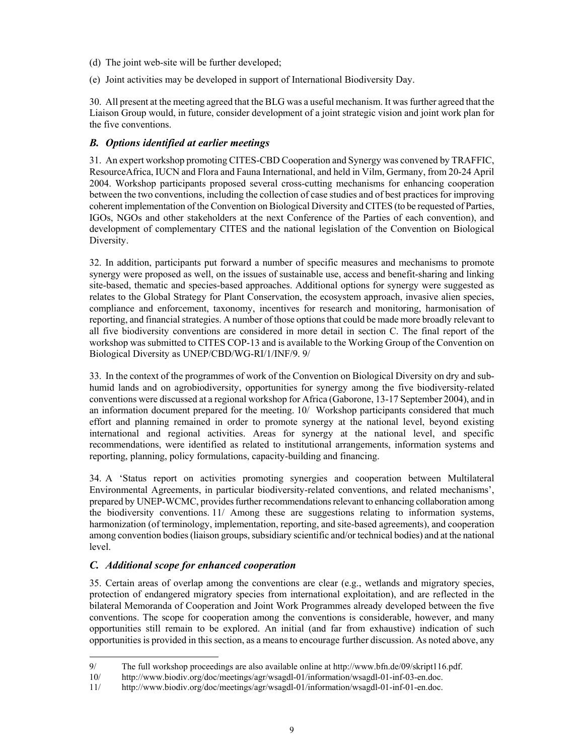- (d) The joint web-site will be further developed;
- (e) Joint activities may be developed in support of International Biodiversity Day.

30. All present at the meeting agreed that the BLG was a useful mechanism. It was further agreed that the Liaison Group would, in future, consider development of a joint strategic vision and joint work plan for the five conventions.

# *B. Options identified at earlier meetings*

31. An expert workshop promoting CITES-CBD Cooperation and Synergy was convened by TRAFFIC, ResourceAfrica, IUCN and Flora and Fauna International, and held in Vilm, Germany, from 20-24 April 2004. Workshop participants proposed several cross-cutting mechanisms for enhancing cooperation between the two conventions, including the collection of case studies and of best practices for improving coherent implementation of the Convention on Biological Diversity and CITES (to be requested of Parties, IGOs, NGOs and other stakeholders at the next Conference of the Parties of each convention), and development of complementary CITES and the national legislation of the Convention on Biological Diversity.

32. In addition, participants put forward a number of specific measures and mechanisms to promote synergy were proposed as well, on the issues of sustainable use, access and benefit-sharing and linking site-based, thematic and species-based approaches. Additional options for synergy were suggested as relates to the Global Strategy for Plant Conservation, the ecosystem approach, invasive alien species, compliance and enforcement, taxonomy, incentives for research and monitoring, harmonisation of reporting, and financial strategies. A number of those options that could be made more broadly relevant to all five biodiversity conventions are considered in more detail in section C. The final report of the workshop was submitted to CITES COP-13 and is available to the Working Group of the Convention on Biological Diversity as UNEP/CBD/WG-RI/1/INF/9. 9/

33. In the context of the programmes of work of the Convention on Biological Diversity on dry and subhumid lands and on agrobiodiversity, opportunities for synergy among the five biodiversity-related conventions were discussed at a regional workshop for Africa (Gaborone, 13-17 September 2004), and in an information document prepared for the meeting. 10/ Workshop participants considered that much effort and planning remained in order to promote synergy at the national level, beyond existing international and regional activities. Areas for synergy at the national level, and specific recommendations, were identified as related to institutional arrangements, information systems and reporting, planning, policy formulations, capacity-building and financing.

34. A 'Status report on activities promoting synergies and cooperation between Multilateral Environmental Agreements, in particular biodiversity-related conventions, and related mechanisms', prepared by UNEP-WCMC, provides further recommendations relevant to enhancing collaboration among the biodiversity conventions. 11/ Among these are suggestions relating to information systems, harmonization (of terminology, implementation, reporting, and site-based agreements), and cooperation among convention bodies (liaison groups, subsidiary scientific and/or technical bodies) and at the national level.

# *C. Additional scope for enhanced cooperation*

-

35. Certain areas of overlap among the conventions are clear (e.g., wetlands and migratory species, protection of endangered migratory species from international exploitation), and are reflected in the bilateral Memoranda of Cooperation and Joint Work Programmes already developed between the five conventions. The scope for cooperation among the conventions is considerable, however, and many opportunities still remain to be explored. An initial (and far from exhaustive) indication of such opportunities is provided in this section, as a means to encourage further discussion. As noted above, any

<sup>9/</sup> The full workshop proceedings are also available online at http://www.bfn.de/09/skript116.pdf.

<sup>10/</sup> http://www.biodiv.org/doc/meetings/agr/wsagdl-01/information/wsagdl-01-inf-03-en.doc.

<sup>11/</sup> http://www.biodiv.org/doc/meetings/agr/wsagdl-01/information/wsagdl-01-inf-01-en.doc.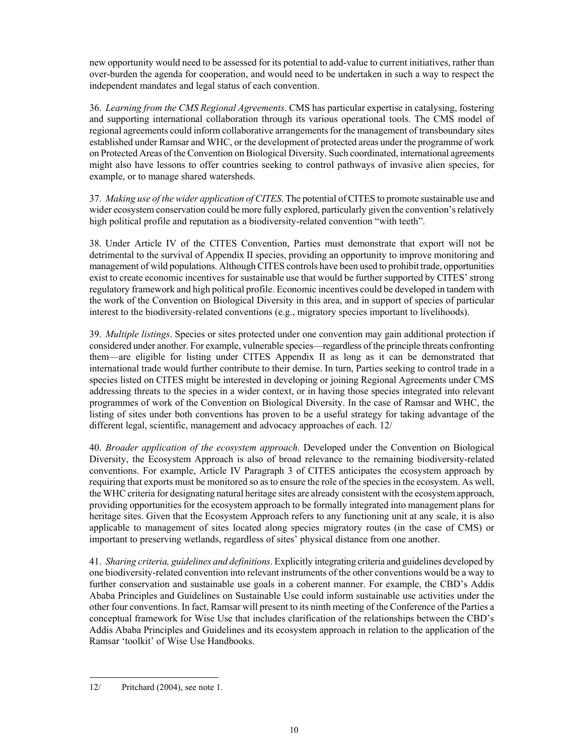new opportunity would need to be assessed for its potential to add-value to current initiatives, rather than over-burden the agenda for cooperation, and would need to be undertaken in such a way to respect the independent mandates and legal status of each convention.

36. *Learning from the CMS Regional Agreements*. CMS has particular expertise in catalysing, fostering and supporting international collaboration through its various operational tools. The CMS model of regional agreements could inform collaborative arrangements for the management of transboundary sites established under Ramsar and WHC, or the development of protected areas under the programme of work on Protected Areas of the Convention on Biological Diversity. Such coordinated, international agreements might also have lessons to offer countries seeking to control pathways of invasive alien species, for example, or to manage shared watersheds.

37. *Making use of the wider application of CITES*. The potential of CITES to promote sustainable use and wider ecosystem conservation could be more fully explored, particularly given the convention's relatively high political profile and reputation as a biodiversity-related convention "with teeth".

38. Under Article IV of the CITES Convention, Parties must demonstrate that export will not be detrimental to the survival of Appendix II species, providing an opportunity to improve monitoring and management of wild populations. Although CITES controls have been used to prohibit trade, opportunities exist to create economic incentives for sustainable use that would be further supported by CITES' strong regulatory framework and high political profile. Economic incentives could be developed in tandem with the work of the Convention on Biological Diversity in this area, and in support of species of particular interest to the biodiversity-related conventions (e.g., migratory species important to livelihoods).

39. *Multiple listings*. Species or sites protected under one convention may gain additional protection if considered under another. For example, vulnerable species—regardless of the principle threats confronting them—are eligible for listing under CITES Appendix II as long as it can be demonstrated that international trade would further contribute to their demise. In turn, Parties seeking to control trade in a species listed on CITES might be interested in developing or joining Regional Agreements under CMS addressing threats to the species in a wider context, or in having those species integrated into relevant programmes of work of the Convention on Biological Diversity. In the case of Ramsar and WHC, the listing of sites under both conventions has proven to be a useful strategy for taking advantage of the different legal, scientific, management and advocacy approaches of each. 12/

40. *Broader application of the ecosystem approach*. Developed under the Convention on Biological Diversity, the Ecosystem Approach is also of broad relevance to the remaining biodiversity-related conventions. For example, Article IV Paragraph 3 of CITES anticipates the ecosystem approach by requiring that exports must be monitored so as to ensure the role of the species in the ecosystem. As well, the WHC criteria for designating natural heritage sites are already consistent with the ecosystem approach, providing opportunities for the ecosystem approach to be formally integrated into management plans for heritage sites. Given that the Ecosystem Approach refers to any functioning unit at any scale, it is also applicable to management of sites located along species migratory routes (in the case of CMS) or important to preserving wetlands, regardless of sites' physical distance from one another.

41. *Sharing criteria, guidelines and definitions*. Explicitly integrating criteria and guidelines developed by one biodiversity-related convention into relevant instruments of the other conventions would be a way to further conservation and sustainable use goals in a coherent manner. For example, the CBD's Addis Ababa Principles and Guidelines on Sustainable Use could inform sustainable use activities under the other four conventions. In fact, Ramsar will present to its ninth meeting of the Conference of the Parties a conceptual framework for Wise Use that includes clarification of the relationships between the CBD's Addis Ababa Principles and Guidelines and its ecosystem approach in relation to the application of the Ramsar 'toolkit' of Wise Use Handbooks.

<sup>-</sup>12/ Pritchard (2004), see note 1.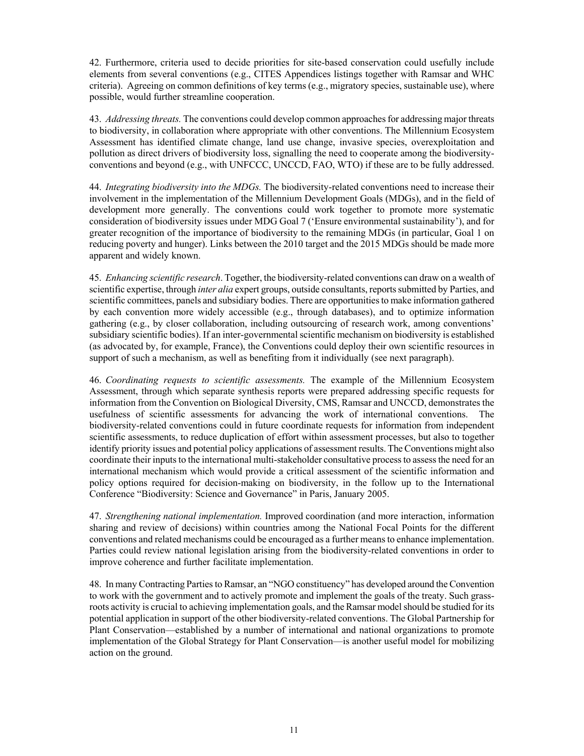42. Furthermore, criteria used to decide priorities for site-based conservation could usefully include elements from several conventions (e.g., CITES Appendices listings together with Ramsar and WHC criteria). Agreeing on common definitions of key terms (e.g., migratory species, sustainable use), where possible, would further streamline cooperation.

43. *Addressing threats.* The conventions could develop common approaches for addressing major threats to biodiversity, in collaboration where appropriate with other conventions. The Millennium Ecosystem Assessment has identified climate change, land use change, invasive species, overexploitation and pollution as direct drivers of biodiversity loss, signalling the need to cooperate among the biodiversityconventions and beyond (e.g., with UNFCCC, UNCCD, FAO, WTO) if these are to be fully addressed.

44. *Integrating biodiversity into the MDGs.* The biodiversity-related conventions need to increase their involvement in the implementation of the Millennium Development Goals (MDGs), and in the field of development more generally. The conventions could work together to promote more systematic consideration of biodiversity issues under MDG Goal 7 ('Ensure environmental sustainability'), and for greater recognition of the importance of biodiversity to the remaining MDGs (in particular, Goal 1 on reducing poverty and hunger). Links between the 2010 target and the 2015 MDGs should be made more apparent and widely known.

45. *Enhancing scientific research*. Together, the biodiversity-related conventions can draw on a wealth of scientific expertise, through *inter alia* expert groups, outside consultants, reports submitted by Parties, and scientific committees, panels and subsidiary bodies. There are opportunities to make information gathered by each convention more widely accessible (e.g., through databases), and to optimize information gathering (e.g., by closer collaboration, including outsourcing of research work, among conventions' subsidiary scientific bodies). If an inter-governmental scientific mechanism on biodiversity is established (as advocated by, for example, France), the Conventions could deploy their own scientific resources in support of such a mechanism, as well as benefiting from it individually (see next paragraph).

46. *Coordinating requests to scientific assessments.* The example of the Millennium Ecosystem Assessment, through which separate synthesis reports were prepared addressing specific requests for information from the Convention on Biological Diversity, CMS, Ramsar and UNCCD, demonstrates the usefulness of scientific assessments for advancing the work of international conventions. The biodiversity-related conventions could in future coordinate requests for information from independent scientific assessments, to reduce duplication of effort within assessment processes, but also to together identify priority issues and potential policy applications of assessment results. The Conventions might also coordinate their inputs to the international multi-stakeholder consultative process to assess the need for an international mechanism which would provide a critical assessment of the scientific information and policy options required for decision-making on biodiversity, in the follow up to the International Conference "Biodiversity: Science and Governance" in Paris, January 2005.

47. *Strengthening national implementation.* Improved coordination (and more interaction, information sharing and review of decisions) within countries among the National Focal Points for the different conventions and related mechanisms could be encouraged as a further means to enhance implementation. Parties could review national legislation arising from the biodiversity-related conventions in order to improve coherence and further facilitate implementation.

48. In many Contracting Parties to Ramsar, an "NGO constituency" has developed around the Convention to work with the government and to actively promote and implement the goals of the treaty. Such grassroots activity is crucial to achieving implementation goals, and the Ramsar model should be studied for its potential application in support of the other biodiversity-related conventions. The Global Partnership for Plant Conservation—established by a number of international and national organizations to promote implementation of the Global Strategy for Plant Conservation—is another useful model for mobilizing action on the ground.